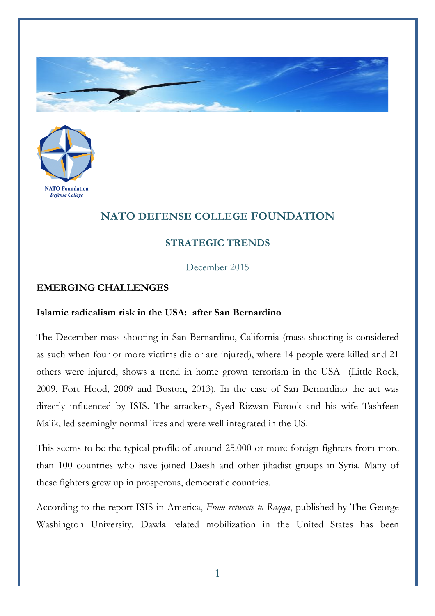



## **NATO DEFENSE COLLEGE FOUNDATION**

## **STRATEGIC TRENDS**

December 2015

## **EMERGING CHALLENGES**

## **Islamic radicalism risk in the USA: after San Bernardino**

The December mass shooting in San Bernardino, California (mass shooting is considered as such when four or more victims die or are injured), where 14 people were killed and 21 others were injured, shows a trend in home grown terrorism in the USA (Little Rock, 2009, Fort Hood, 2009 and Boston, 2013). In the case of San Bernardino the act was directly influenced by ISIS. The attackers, Syed Rizwan Farook and his wife Tashfeen Malik, led seemingly normal lives and were well integrated in the US.

This seems to be the typical profile of around 25.000 or more foreign fighters from more than 100 countries who have joined Daesh and other jihadist groups in Syria. Many of these fighters grew up in prosperous, democratic countries.

According to the report ISIS in America, *From retweets to Raqqa*, published by The George Washington University, Dawla related mobilization in the United States has been